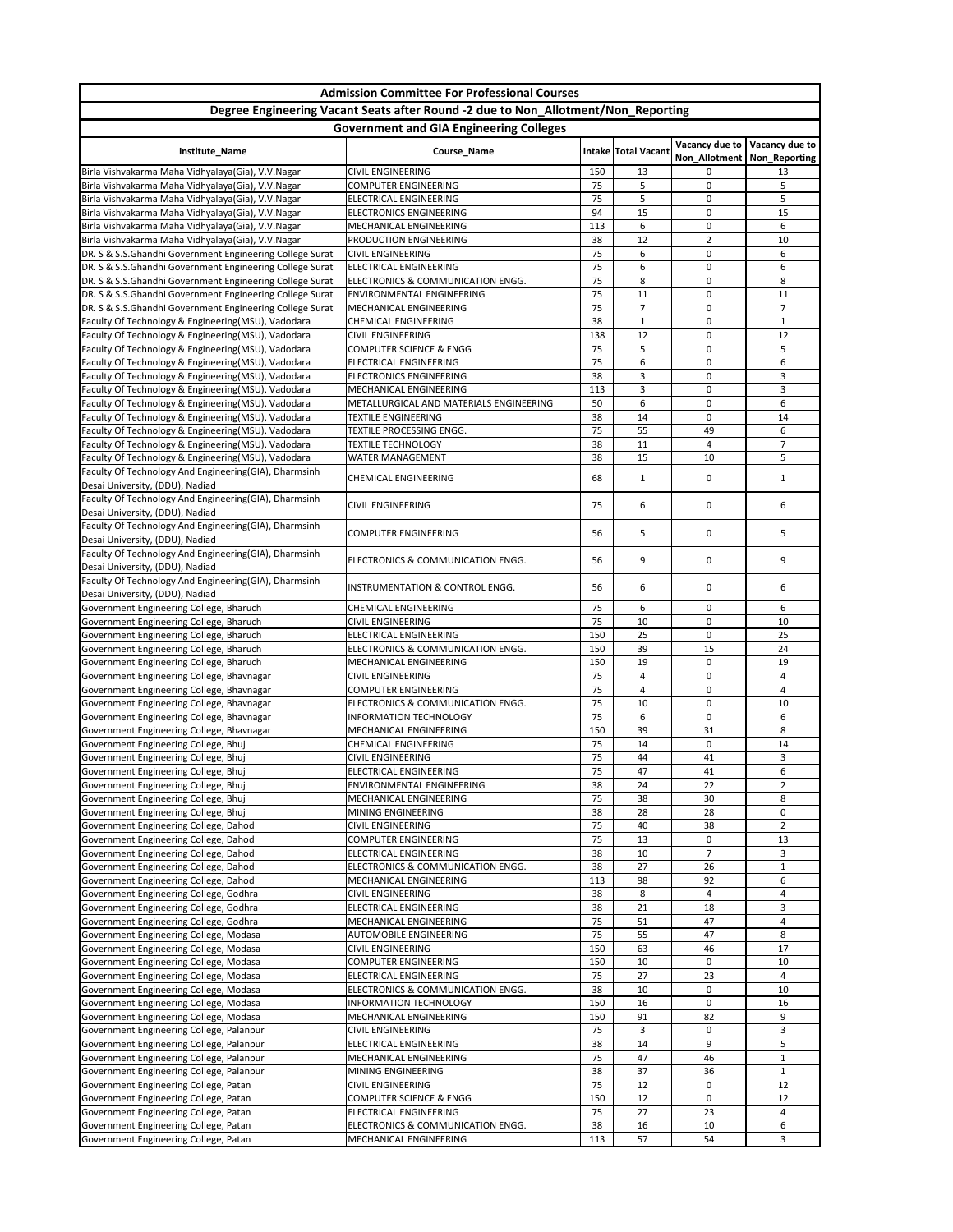| <b>Admission Committee For Professional Courses</b><br>Degree Engineering Vacant Seats after Round -2 due to Non_Allotment/Non_Reporting<br><b>Government and GIA Engineering Colleges</b> |                                                                    |           |                      |                     |                      |  |  |  |  |                                                                                                        |                                                         |           |                            |                                                 |                |
|--------------------------------------------------------------------------------------------------------------------------------------------------------------------------------------------|--------------------------------------------------------------------|-----------|----------------------|---------------------|----------------------|--|--|--|--|--------------------------------------------------------------------------------------------------------|---------------------------------------------------------|-----------|----------------------------|-------------------------------------------------|----------------|
|                                                                                                                                                                                            |                                                                    |           |                      |                     |                      |  |  |  |  | Institute_Name                                                                                         | Course_Name                                             |           | <b>Intake Total Vacant</b> | Vacancy due to<br>Non_Allotment   Non_Reporting | Vacancy due to |
|                                                                                                                                                                                            |                                                                    |           |                      |                     |                      |  |  |  |  | Birla Vishvakarma Maha Vidhyalaya(Gia), V.V.Nagar<br>Birla Vishvakarma Maha Vidhyalaya(Gia), V.V.Nagar | <b>CIVIL ENGINEERING</b><br><b>COMPUTER ENGINEERING</b> | 150<br>75 | 13<br>5                    | 0<br>0                                          | 13<br>5        |
| Birla Vishvakarma Maha Vidhyalaya(Gia), V.V.Nagar                                                                                                                                          | ELECTRICAL ENGINEERING                                             | 75        | 5                    | 0                   | 5                    |  |  |  |  |                                                                                                        |                                                         |           |                            |                                                 |                |
| Birla Vishvakarma Maha Vidhyalaya(Gia), V.V.Nagar                                                                                                                                          | ELECTRONICS ENGINEERING                                            | 94        | 15                   | 0                   | 15                   |  |  |  |  |                                                                                                        |                                                         |           |                            |                                                 |                |
| Birla Vishvakarma Maha Vidhyalaya(Gia), V.V.Nagar<br>Birla Vishvakarma Maha Vidhyalaya(Gia), V.V.Nagar                                                                                     | MECHANICAL ENGINEERING<br>PRODUCTION ENGINEERING                   | 113<br>38 | 6<br>12              | 0<br>$\overline{2}$ | 6<br>10              |  |  |  |  |                                                                                                        |                                                         |           |                            |                                                 |                |
| DR. S & S.S.Ghandhi Government Engineering College Surat                                                                                                                                   | <b>CIVIL ENGINEERING</b>                                           | 75        | 6                    | 0                   | 6                    |  |  |  |  |                                                                                                        |                                                         |           |                            |                                                 |                |
| DR. S & S.S.Ghandhi Government Engineering College Surat                                                                                                                                   | ELECTRICAL ENGINEERING                                             | 75        | 6                    | 0                   | 6                    |  |  |  |  |                                                                                                        |                                                         |           |                            |                                                 |                |
| DR. S & S.S.Ghandhi Government Engineering College Surat                                                                                                                                   | ELECTRONICS & COMMUNICATION ENGG.                                  | 75        | 8                    | 0                   | 8                    |  |  |  |  |                                                                                                        |                                                         |           |                            |                                                 |                |
| DR. S & S.S.Ghandhi Government Engineering College Surat<br>DR. S & S.S.Ghandhi Government Engineering College Surat                                                                       | <b>ENVIRONMENTAL ENGINEERING</b><br>MECHANICAL ENGINEERING         | 75<br>75  | 11<br>$\overline{7}$ | 0<br>0              | 11<br>$\overline{7}$ |  |  |  |  |                                                                                                        |                                                         |           |                            |                                                 |                |
| Faculty Of Technology & Engineering(MSU), Vadodara                                                                                                                                         | <b>CHEMICAL ENGINEERING</b>                                        | 38        | $\mathbf{1}$         | 0                   | $\mathbf{1}$         |  |  |  |  |                                                                                                        |                                                         |           |                            |                                                 |                |
| Faculty Of Technology & Engineering(MSU), Vadodara                                                                                                                                         | <b>CIVIL ENGINEERING</b>                                           | 138       | 12                   | 0                   | 12                   |  |  |  |  |                                                                                                        |                                                         |           |                            |                                                 |                |
| Faculty Of Technology & Engineering(MSU), Vadodara                                                                                                                                         | <b>COMPUTER SCIENCE &amp; ENGG</b>                                 | 75        | 5                    | 0                   | 5                    |  |  |  |  |                                                                                                        |                                                         |           |                            |                                                 |                |
| Faculty Of Technology & Engineering(MSU), Vadodara                                                                                                                                         | ELECTRICAL ENGINEERING                                             | 75<br>38  | 6                    | 0                   | 6<br>3               |  |  |  |  |                                                                                                        |                                                         |           |                            |                                                 |                |
| Faculty Of Technology & Engineering(MSU), Vadodara<br>Faculty Of Technology & Engineering(MSU), Vadodara                                                                                   | <b>ELECTRONICS ENGINEERING</b><br>MECHANICAL ENGINEERING           | 113       | 3<br>3               | 0<br>0              | 3                    |  |  |  |  |                                                                                                        |                                                         |           |                            |                                                 |                |
| Faculty Of Technology & Engineering(MSU), Vadodara                                                                                                                                         | METALLURGICAL AND MATERIALS ENGINEERING                            | 50        | 6                    | 0                   | 6                    |  |  |  |  |                                                                                                        |                                                         |           |                            |                                                 |                |
| Faculty Of Technology & Engineering(MSU), Vadodara                                                                                                                                         | <b>TEXTILE ENGINEERING</b>                                         | 38        | 14                   | 0                   | 14                   |  |  |  |  |                                                                                                        |                                                         |           |                            |                                                 |                |
| Faculty Of Technology & Engineering(MSU), Vadodara                                                                                                                                         | TEXTILE PROCESSING ENGG.                                           | 75        | 55                   | 49                  | 6                    |  |  |  |  |                                                                                                        |                                                         |           |                            |                                                 |                |
| Faculty Of Technology & Engineering(MSU), Vadodara<br>Faculty Of Technology & Engineering(MSU), Vadodara                                                                                   | <b>TEXTILE TECHNOLOGY</b><br><b>WATER MANAGEMENT</b>               | 38<br>38  | 11<br>15             | 4<br>10             | $\overline{7}$<br>5  |  |  |  |  |                                                                                                        |                                                         |           |                            |                                                 |                |
| Faculty Of Technology And Engineering(GIA), Dharmsinh<br>Desai University, (DDU), Nadiad                                                                                                   | <b>CHEMICAL ENGINEERING</b>                                        | 68        | $\mathbf{1}$         | 0                   | 1                    |  |  |  |  |                                                                                                        |                                                         |           |                            |                                                 |                |
| Faculty Of Technology And Engineering(GIA), Dharmsinh<br>Desai University, (DDU), Nadiad                                                                                                   | <b>CIVIL ENGINEERING</b>                                           | 75        | 6                    | 0                   | 6                    |  |  |  |  |                                                                                                        |                                                         |           |                            |                                                 |                |
| Faculty Of Technology And Engineering(GIA), Dharmsinh<br>Desai University, (DDU), Nadiad                                                                                                   | <b>COMPUTER ENGINEERING</b>                                        | 56        | 5                    | 0                   | 5                    |  |  |  |  |                                                                                                        |                                                         |           |                            |                                                 |                |
| Faculty Of Technology And Engineering(GIA), Dharmsinh<br>Desai University, (DDU), Nadiad                                                                                                   | ELECTRONICS & COMMUNICATION ENGG.                                  | 56        | 9                    | 0                   | 9                    |  |  |  |  |                                                                                                        |                                                         |           |                            |                                                 |                |
| Faculty Of Technology And Engineering(GIA), Dharmsinh<br>Desai University, (DDU), Nadiad                                                                                                   | INSTRUMENTATION & CONTROL ENGG.                                    | 56        | 6                    | 0                   | 6                    |  |  |  |  |                                                                                                        |                                                         |           |                            |                                                 |                |
| Government Engineering College, Bharuch                                                                                                                                                    | <b>CHEMICAL ENGINEERING</b><br><b>CIVIL ENGINEERING</b>            | 75<br>75  | 6                    | 0<br>0              | 6                    |  |  |  |  |                                                                                                        |                                                         |           |                            |                                                 |                |
| Government Engineering College, Bharuch<br>Government Engineering College, Bharuch                                                                                                         | <b>ELECTRICAL ENGINEERING</b>                                      | 150       | 10<br>25             | 0                   | 10<br>25             |  |  |  |  |                                                                                                        |                                                         |           |                            |                                                 |                |
| Government Engineering College, Bharuch                                                                                                                                                    | ELECTRONICS & COMMUNICATION ENGG.                                  | 150       | 39                   | 15                  | 24                   |  |  |  |  |                                                                                                        |                                                         |           |                            |                                                 |                |
| Government Engineering College, Bharuch                                                                                                                                                    | MECHANICAL ENGINEERING                                             | 150       | 19                   | 0                   | 19                   |  |  |  |  |                                                                                                        |                                                         |           |                            |                                                 |                |
| Government Engineering College, Bhavnagar<br>Government Engineering College, Bhavnagar                                                                                                     | <b>CIVIL ENGINEERING</b><br><b>COMPUTER ENGINEERING</b>            | 75<br>75  | $\overline{a}$<br>4  | 0<br>0              | 4<br>$\overline{a}$  |  |  |  |  |                                                                                                        |                                                         |           |                            |                                                 |                |
| Government Engineering College, Bhavnagar                                                                                                                                                  | ELECTRONICS & COMMUNICATION ENGG.                                  | 75        | 10                   | 0                   | 10                   |  |  |  |  |                                                                                                        |                                                         |           |                            |                                                 |                |
| Government Engineering College, Bhavnagar                                                                                                                                                  | <b>INFORMATION TECHNOLOGY</b>                                      | 75        | 6                    | 0                   | 6                    |  |  |  |  |                                                                                                        |                                                         |           |                            |                                                 |                |
| Government Engineering College, Bhavnagar                                                                                                                                                  | MECHANICAL ENGINEERING                                             | 150       | 39                   | 31                  | 8                    |  |  |  |  |                                                                                                        |                                                         |           |                            |                                                 |                |
| Government Engineering College, Bhuj                                                                                                                                                       | <b>CHEMICAL ENGINEERING</b><br><b>CIVIL ENGINEERING</b>            | 75<br>75  | 14<br>44             | 0<br>41             | 14<br>$\mathsf{3}$   |  |  |  |  |                                                                                                        |                                                         |           |                            |                                                 |                |
| Government Engineering College, Bhuj<br>Government Engineering College, Bhuj                                                                                                               | <b>ELECTRICAL ENGINEERING</b>                                      | 75        | 47                   | 41                  | 6                    |  |  |  |  |                                                                                                        |                                                         |           |                            |                                                 |                |
| Government Engineering College, Bhuj                                                                                                                                                       | <b>ENVIRONMENTAL ENGINEERING</b>                                   | 38        | 24                   | 22                  | $\overline{2}$       |  |  |  |  |                                                                                                        |                                                         |           |                            |                                                 |                |
| Government Engineering College, Bhuj                                                                                                                                                       | MECHANICAL ENGINEERING                                             | 75        | 38                   | 30                  | 8                    |  |  |  |  |                                                                                                        |                                                         |           |                            |                                                 |                |
| Government Engineering College, Bhuj                                                                                                                                                       | MINING ENGINEERING                                                 | 38<br>75  | 28                   | 28<br>38            | $\mathbf 0$          |  |  |  |  |                                                                                                        |                                                         |           |                            |                                                 |                |
| Government Engineering College, Dahod<br>Government Engineering College, Dahod                                                                                                             | <b>CIVIL ENGINEERING</b><br><b>COMPUTER ENGINEERING</b>            | 75        | 40<br>13             | 0                   | $\overline{2}$<br>13 |  |  |  |  |                                                                                                        |                                                         |           |                            |                                                 |                |
| Government Engineering College, Dahod                                                                                                                                                      | <b>ELECTRICAL ENGINEERING</b>                                      | 38        | 10                   | $\overline{7}$      | 3                    |  |  |  |  |                                                                                                        |                                                         |           |                            |                                                 |                |
| Government Engineering College, Dahod                                                                                                                                                      | ELECTRONICS & COMMUNICATION ENGG.                                  | 38        | 27                   | 26                  | $\mathbf{1}$         |  |  |  |  |                                                                                                        |                                                         |           |                            |                                                 |                |
| Government Engineering College, Dahod                                                                                                                                                      | MECHANICAL ENGINEERING                                             | 113       | 98                   | 92                  | 6                    |  |  |  |  |                                                                                                        |                                                         |           |                            |                                                 |                |
| Government Engineering College, Godhra<br>Government Engineering College, Godhra                                                                                                           | <b>CIVIL ENGINEERING</b><br><b>ELECTRICAL ENGINEERING</b>          | 38<br>38  | 8<br>21              | 4<br>18             | $\overline{a}$<br>3  |  |  |  |  |                                                                                                        |                                                         |           |                            |                                                 |                |
| Government Engineering College, Godhra                                                                                                                                                     | MECHANICAL ENGINEERING                                             | 75        | 51                   | 47                  | 4                    |  |  |  |  |                                                                                                        |                                                         |           |                            |                                                 |                |
| Government Engineering College, Modasa                                                                                                                                                     | <b>AUTOMOBILE ENGINEERING</b>                                      | 75        | 55                   | 47                  | 8                    |  |  |  |  |                                                                                                        |                                                         |           |                            |                                                 |                |
| Government Engineering College, Modasa                                                                                                                                                     | <b>CIVIL ENGINEERING</b>                                           | 150       | 63                   | 46                  | 17                   |  |  |  |  |                                                                                                        |                                                         |           |                            |                                                 |                |
| Government Engineering College, Modasa<br>Government Engineering College, Modasa                                                                                                           | <b>COMPUTER ENGINEERING</b><br>ELECTRICAL ENGINEERING              | 150<br>75 | 10<br>27             | 0<br>23             | 10<br>4              |  |  |  |  |                                                                                                        |                                                         |           |                            |                                                 |                |
| Government Engineering College, Modasa                                                                                                                                                     | ELECTRONICS & COMMUNICATION ENGG.                                  | 38        | 10                   | 0                   | 10                   |  |  |  |  |                                                                                                        |                                                         |           |                            |                                                 |                |
| Government Engineering College, Modasa                                                                                                                                                     | <b>INFORMATION TECHNOLOGY</b>                                      | 150       | 16                   | 0                   | 16                   |  |  |  |  |                                                                                                        |                                                         |           |                            |                                                 |                |
| Government Engineering College, Modasa                                                                                                                                                     | MECHANICAL ENGINEERING                                             | 150       | 91                   | 82                  | 9                    |  |  |  |  |                                                                                                        |                                                         |           |                            |                                                 |                |
| Government Engineering College, Palanpur                                                                                                                                                   | <b>CIVIL ENGINEERING</b>                                           | 75        | 3                    | 0                   | 3                    |  |  |  |  |                                                                                                        |                                                         |           |                            |                                                 |                |
| Government Engineering College, Palanpur<br>Government Engineering College, Palanpur                                                                                                       | <b>ELECTRICAL ENGINEERING</b><br>MECHANICAL ENGINEERING            | 38<br>75  | 14<br>47             | 9<br>46             | 5<br>$\mathbf{1}$    |  |  |  |  |                                                                                                        |                                                         |           |                            |                                                 |                |
| Government Engineering College, Palanpur                                                                                                                                                   | MINING ENGINEERING                                                 | 38        | 37                   | 36                  | $\mathbf{1}$         |  |  |  |  |                                                                                                        |                                                         |           |                            |                                                 |                |
| Government Engineering College, Patan                                                                                                                                                      | <b>CIVIL ENGINEERING</b>                                           | 75        | 12                   | 0                   | 12                   |  |  |  |  |                                                                                                        |                                                         |           |                            |                                                 |                |
| Government Engineering College, Patan                                                                                                                                                      | <b>COMPUTER SCIENCE &amp; ENGG</b>                                 | 150       | 12                   | 0                   | 12                   |  |  |  |  |                                                                                                        |                                                         |           |                            |                                                 |                |
| Government Engineering College, Patan<br>Government Engineering College, Patan                                                                                                             | <b>ELECTRICAL ENGINEERING</b><br>ELECTRONICS & COMMUNICATION ENGG. | 75<br>38  | 27<br>16             | 23<br>10            | 4<br>6               |  |  |  |  |                                                                                                        |                                                         |           |                            |                                                 |                |
| Government Engineering College, Patan                                                                                                                                                      | MECHANICAL ENGINEERING                                             | 113       | 57                   | 54                  | 3                    |  |  |  |  |                                                                                                        |                                                         |           |                            |                                                 |                |
|                                                                                                                                                                                            |                                                                    |           |                      |                     |                      |  |  |  |  |                                                                                                        |                                                         |           |                            |                                                 |                |